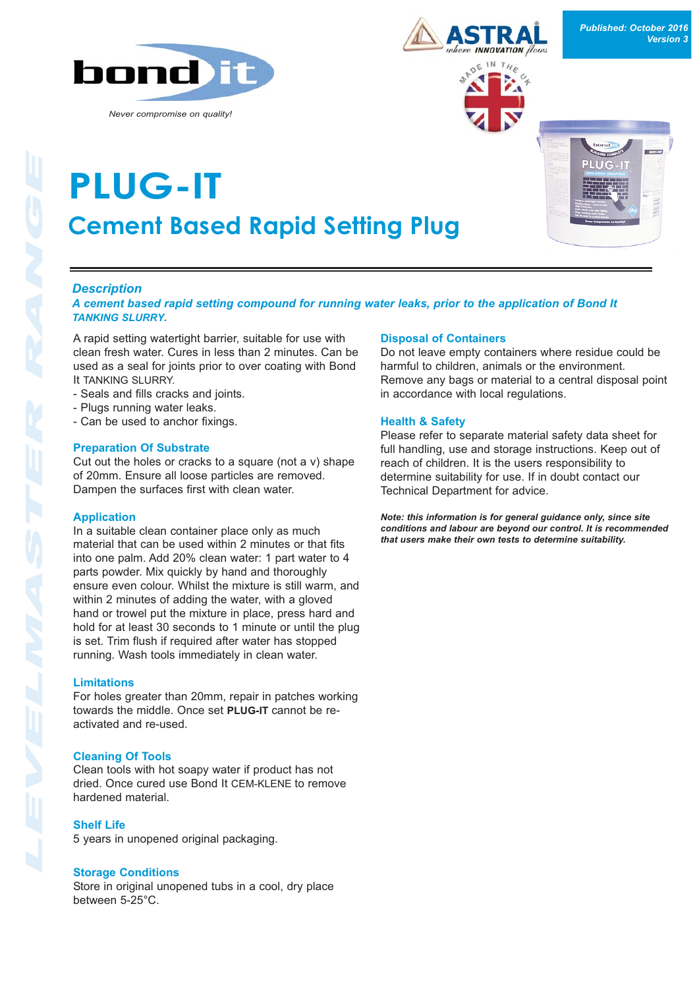

*Never compromise on quality!*

# **PLUG-IT Cement Based Rapid Setting Plug**



## *Description*

### *A cement based rapid setting compound for running water leaks, prior to the application of Bond It TANKING SLURRY.*

A rapid setting watertight barrier, suitable for use with clean fresh water. Cures in less than 2 minutes. Can be used as a seal for joints prior to over coating with Bond It TANKING SLURRY.

- Seals and fills cracks and joints.
- Plugs running water leaks.
- Can be used to anchor fixings.

#### **Preparation Of Substrate**

Cut out the holes or cracks to a square (not a v) shape of 20mm. Ensure all loose particles are removed. Dampen the surfaces first with clean water.

#### **Application**

In a suitable clean container place only as much material that can be used within 2 minutes or that fits into one palm. Add 20% clean water: 1 part water to 4 parts powder. Mix quickly by hand and thoroughly ensure even colour. Whilst the mixture is still warm, and within 2 minutes of adding the water, with a gloved hand or trowel put the mixture in place, press hard and hold for at least 30 seconds to 1 minute or until the plug is set. Trim flush if required after water has stopped running. Wash tools immediately in clean water.

#### **Limitations**

For holes greater than 20mm, repair in patches working towards the middle. Once set **PLUG-IT** cannot be reactivated and re-used.

#### **Cleaning Of Tools**

Clean tools with hot soapy water if product has not dried. Once cured use Bond It CEM-KLENE to remove hardened material.

#### **Shelf Life**

5 years in unopened original packaging.

#### **Storage Conditions**

Store in original unopened tubs in a cool, dry place between 5-25°C.

#### **Disposal of Containers**

Do not leave empty containers where residue could be harmful to children, animals or the environment. Remove any bags or material to a central disposal point in accordance with local regulations.

#### **Health & Safety**

Please refer to separate material safety data sheet for full handling, use and storage instructions. Keep out of reach of children. It is the users responsibility to determine suitability for use. If in doubt contact our Technical Department for advice.

*Note: this information is for general guidance only, since site conditions and labour are beyond our control. It is recommended that users make their own tests to determine suitability.*